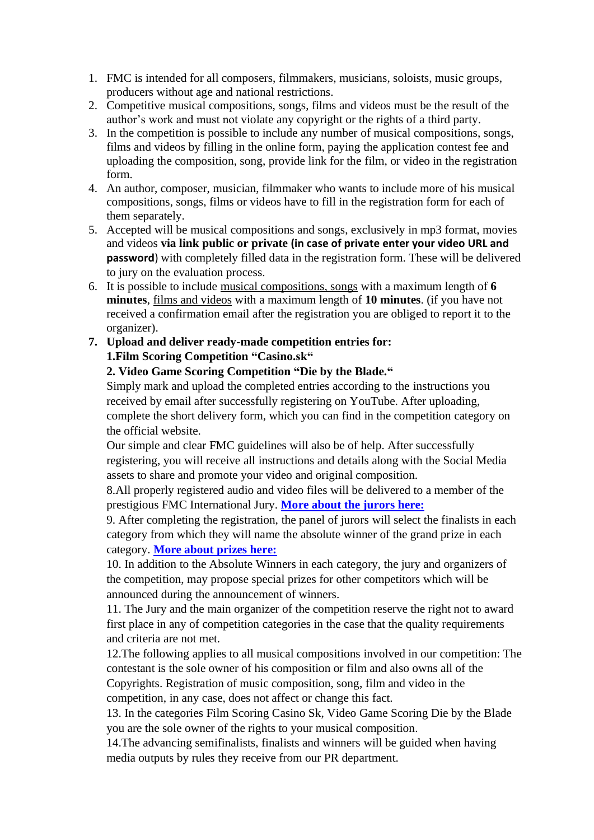- 1. FMC is intended for all composers, filmmakers, musicians, soloists, music groups, producers without age and national restrictions.
- 2. Competitive musical compositions, songs, films and videos must be the result of the author's work and must not violate any copyright or the rights of a third party.
- 3. In the competition is possible to include any number of musical compositions, songs, films and videos by filling in the online form, paying the application contest fee and uploading the composition, song, provide link for the film, or video in the registration form.
- 4. An author, composer, musician, filmmaker who wants to include more of his musical compositions, songs, films or videos have to fill in the registration form for each of them separately.
- 5. Accepted will be musical compositions and songs, exclusively in mp3 format, movies and videos **via link public or private (in case of private enter your video URL and password**) with completely filled data in the registration form. These will be delivered to jury on the evaluation process.
- 6. It is possible to include musical compositions, songs with a maximum length of **6 minutes**, films and videos with a maximum length of **10 minutes**. (if you have not received a confirmation email after the registration you are obliged to report it to the organizer).
- **7. Upload and deliver ready-made competition entries for: 1.Film Scoring Competition "Casino.sk"**

## **2. Video Game Scoring Competition "Die by the Blade."**

Simply mark and upload the completed entries according to the instructions you received by email after successfully registering on YouTube. After uploading, complete the short delivery form, which you can find in the competition category on the official website.

Our simple and clear FMC guidelines will also be of help. After successfully registering, you will receive all instructions and details along with the Social Media assets to share and promote your video and original composition.

8.All properly registered audio and video files will be delivered to a member of the prestigious FMC International Jury. **[More about the jurors here:](https://www.fmcontest.com/judges/)**

9. After completing the registration, the panel of jurors will select the finalists in each category from which they will name the absolute winner of the grand prize in each category. **[More about prizes here:](https://www.fmcontest.com/prizes-2/)**

10. In addition to the Absolute Winners in each category, the jury and organizers of the competition, may propose special prizes for other competitors which will be announced during the announcement of winners.

11. The Jury and the main organizer of the competition reserve the right not to award first place in any of competition categories in the case that the quality requirements and criteria are not met.

12.The following applies to all musical compositions involved in our competition: The contestant is the sole owner of his composition or film and also owns all of the Copyrights. Registration of music composition, song, film and video in the competition, in any case, does not affect or change this fact.

13. In the categories Film Scoring Casino Sk, Video Game Scoring Die by the Blade you are the sole owner of the rights to your musical composition.

14.The advancing semifinalists, finalists and winners will be guided when having media outputs by rules they receive from our PR department.